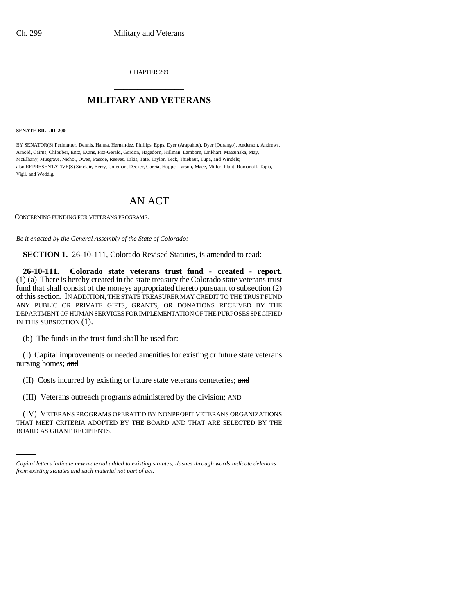CHAPTER 299 \_\_\_\_\_\_\_\_\_\_\_\_\_\_\_

## **MILITARY AND VETERANS** \_\_\_\_\_\_\_\_\_\_\_\_\_\_\_

**SENATE BILL 01-200**

BY SENATOR(S) Perlmutter, Dennis, Hanna, Hernandez, Phillips, Epps, Dyer (Arapahoe), Dyer (Durango), Anderson, Andrews, Arnold, Cairns, Chlouber, Entz, Evans, Fitz-Gerald, Gordon, Hagedorn, Hillman, Lamborn, Linkhart, Matsunaka, May, McElhany, Musgrave, Nichol, Owen, Pascoe, Reeves, Takis, Tate, Taylor, Teck, Thiebaut, Tupa, and Windels; also REPRESENTATIVE(S) Sinclair, Berry, Coleman, Decker, Garcia, Hoppe, Larson, Mace, Miller, Plant, Romanoff, Tapia, Vigil, and Weddig.

# AN ACT

CONCERNING FUNDING FOR VETERANS PROGRAMS.

*Be it enacted by the General Assembly of the State of Colorado:*

**SECTION 1.** 26-10-111, Colorado Revised Statutes, is amended to read:

**26-10-111. Colorado state veterans trust fund - created - report.** (1) (a) There is hereby created in the state treasury the Colorado state veterans trust fund that shall consist of the moneys appropriated thereto pursuant to subsection (2) of this section. IN ADDITION, THE STATE TREASURER MAY CREDIT TO THE TRUST FUND ANY PUBLIC OR PRIVATE GIFTS, GRANTS, OR DONATIONS RECEIVED BY THE DEPARTMENT OF HUMAN SERVICES FOR IMPLEMENTATION OF THE PURPOSES SPECIFIED IN THIS SUBSECTION (1).

(b) The funds in the trust fund shall be used for:

(I) Capital improvements or needed amenities for existing or future state veterans nursing homes; and

(II) Costs incurred by existing or future state veterans cemeteries; and

(III) Veterans outreach programs administered by the division; AND

(IV) VETERANS PROGRAMS OPERATED BY NONPROFIT VETERANS ORGANIZATIONS THAT MEET CRITERIA ADOPTED BY THE BOARD AND THAT ARE SELECTED BY THE BOARD AS GRANT RECIPIENTS.

*Capital letters indicate new material added to existing statutes; dashes through words indicate deletions from existing statutes and such material not part of act.*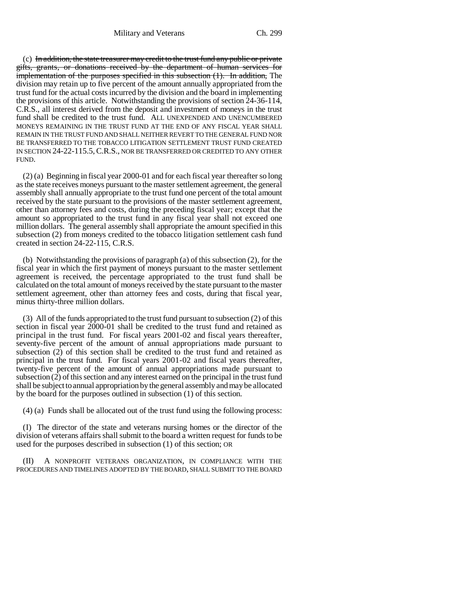Military and Veterans Ch. 299

 $(c)$  In addition, the state treasurer may credit to the trust fund any public or private gifts, grants, or donations received by the department of human services for implementation of the purposes specified in this subsection (1). In addition, The division may retain up to five percent of the amount annually appropriated from the trust fund for the actual costs incurred by the division and the board in implementing the provisions of this article. Notwithstanding the provisions of section 24-36-114, C.R.S., all interest derived from the deposit and investment of moneys in the trust fund shall be credited to the trust fund. ALL UNEXPENDED AND UNENCUMBERED MONEYS REMAINING IN THE TRUST FUND AT THE END OF ANY FISCAL YEAR SHALL REMAIN IN THE TRUST FUND AND SHALL NEITHER REVERT TO THE GENERAL FUND NOR BE TRANSFERRED TO THE TOBACCO LITIGATION SETTLEMENT TRUST FUND CREATED IN SECTION 24-22-115.5,C.R.S., NOR BE TRANSFERRED OR CREDITED TO ANY OTHER FUND.

(2) (a) Beginning in fiscal year 2000-01 and for each fiscal year thereafter so long as the state receives moneys pursuant to the master settlement agreement, the general assembly shall annually appropriate to the trust fund one percent of the total amount received by the state pursuant to the provisions of the master settlement agreement, other than attorney fees and costs, during the preceding fiscal year; except that the amount so appropriated to the trust fund in any fiscal year shall not exceed one million dollars. The general assembly shall appropriate the amount specified in this subsection (2) from moneys credited to the tobacco litigation settlement cash fund created in section 24-22-115, C.R.S.

(b) Notwithstanding the provisions of paragraph (a) of this subsection (2), for the fiscal year in which the first payment of moneys pursuant to the master settlement agreement is received, the percentage appropriated to the trust fund shall be calculated on the total amount of moneys received by the state pursuant to the master settlement agreement, other than attorney fees and costs, during that fiscal year, minus thirty-three million dollars.

(3) All of the funds appropriated to the trust fund pursuant to subsection (2) of this section in fiscal year 2000-01 shall be credited to the trust fund and retained as principal in the trust fund. For fiscal years 2001-02 and fiscal years thereafter, seventy-five percent of the amount of annual appropriations made pursuant to subsection (2) of this section shall be credited to the trust fund and retained as principal in the trust fund. For fiscal years 2001-02 and fiscal years thereafter, twenty-five percent of the amount of annual appropriations made pursuant to subsection (2) of this section and any interest earned on the principal in the trust fund shall be subject to annual appropriation by the general assembly and may be allocated by the board for the purposes outlined in subsection (1) of this section.

(4) (a) Funds shall be allocated out of the trust fund using the following process:

(I) The director of the state and veterans nursing homes or the director of the division of veterans affairs shall submit to the board a written request for funds to be used for the purposes described in subsection (1) of this section; OR

(II) A NONPROFIT VETERANS ORGANIZATION, IN COMPLIANCE WITH THE PROCEDURES AND TIMELINES ADOPTED BY THE BOARD, SHALL SUBMIT TO THE BOARD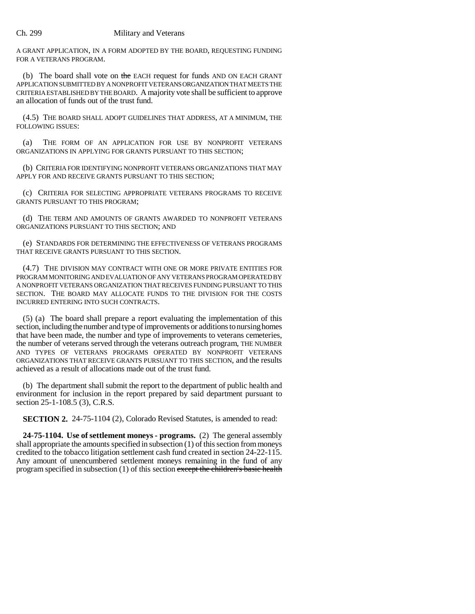#### Ch. 299 Military and Veterans

A GRANT APPLICATION, IN A FORM ADOPTED BY THE BOARD, REQUESTING FUNDING FOR A VETERANS PROGRAM.

(b) The board shall vote on the EACH request for funds AND ON EACH GRANT APPLICATION SUBMITTED BY A NONPROFIT VETERANS ORGANIZATION THAT MEETS THE CRITERIA ESTABLISHED BY THE BOARD. A majority vote shall be sufficient to approve an allocation of funds out of the trust fund.

(4.5) THE BOARD SHALL ADOPT GUIDELINES THAT ADDRESS, AT A MINIMUM, THE FOLLOWING ISSUES:

(a) THE FORM OF AN APPLICATION FOR USE BY NONPROFIT VETERANS ORGANIZATIONS IN APPLYING FOR GRANTS PURSUANT TO THIS SECTION;

(b) CRITERIA FOR IDENTIFYING NONPROFIT VETERANS ORGANIZATIONS THAT MAY APPLY FOR AND RECEIVE GRANTS PURSUANT TO THIS SECTION;

(c) CRITERIA FOR SELECTING APPROPRIATE VETERANS PROGRAMS TO RECEIVE GRANTS PURSUANT TO THIS PROGRAM;

(d) THE TERM AND AMOUNTS OF GRANTS AWARDED TO NONPROFIT VETERANS ORGANIZATIONS PURSUANT TO THIS SECTION; AND

(e) STANDARDS FOR DETERMINING THE EFFECTIVENESS OF VETERANS PROGRAMS THAT RECEIVE GRANTS PURSUANT TO THIS SECTION.

(4.7) THE DIVISION MAY CONTRACT WITH ONE OR MORE PRIVATE ENTITIES FOR PROGRAM MONITORING AND EVALUATION OF ANY VETERANS PROGRAM OPERATED BY A NONPROFIT VETERANS ORGANIZATION THAT RECEIVES FUNDING PURSUANT TO THIS SECTION. THE BOARD MAY ALLOCATE FUNDS TO THE DIVISION FOR THE COSTS INCURRED ENTERING INTO SUCH CONTRACTS.

(5) (a) The board shall prepare a report evaluating the implementation of this section, including the number and type of improvements or additions to nursing homes that have been made, the number and type of improvements to veterans cemeteries, the number of veterans served through the veterans outreach program, THE NUMBER AND TYPES OF VETERANS PROGRAMS OPERATED BY NONPROFIT VETERANS ORGANIZATIONS THAT RECEIVE GRANTS PURSUANT TO THIS SECTION, and the results achieved as a result of allocations made out of the trust fund.

(b) The department shall submit the report to the department of public health and environment for inclusion in the report prepared by said department pursuant to section 25-1-108.5 (3), C.R.S.

**SECTION 2.** 24-75-1104 (2), Colorado Revised Statutes, is amended to read:

**24-75-1104. Use of settlement moneys - programs.** (2) The general assembly shall appropriate the amounts specified in subsection (1) of this section from moneys credited to the tobacco litigation settlement cash fund created in section 24-22-115. Any amount of unencumbered settlement moneys remaining in the fund of any program specified in subsection (1) of this section except the children's basic health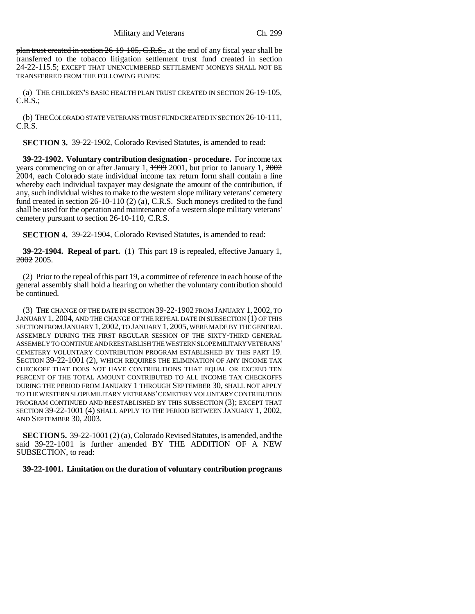plan trust created in section 26-19-105, C.R.S., at the end of any fiscal year shall be transferred to the tobacco litigation settlement trust fund created in section 24-22-115.5; EXCEPT THAT UNENCUMBERED SETTLEMENT MONEYS SHALL NOT BE TRANSFERRED FROM THE FOLLOWING FUNDS:

(a) THE CHILDREN'S BASIC HEALTH PLAN TRUST CREATED IN SECTION 26-19-105, C.R.S.;

(b) THE COLORADO STATE VETERANS TRUST FUND CREATED IN SECTION 26-10-111, C.R.S.

**SECTION 3.** 39-22-1902, Colorado Revised Statutes, is amended to read:

**39-22-1902. Voluntary contribution designation - procedure.** For income tax years commencing on or after January 1,  $\frac{1999}{2001}$ , but prior to January 1,  $\frac{2002}{2001}$ 2004, each Colorado state individual income tax return form shall contain a line whereby each individual taxpayer may designate the amount of the contribution, if any, such individual wishes to make to the western slope military veterans' cemetery fund created in section 26-10-110 (2) (a), C.R.S. Such moneys credited to the fund shall be used for the operation and maintenance of a western slope military veterans' cemetery pursuant to section 26-10-110, C.R.S.

**SECTION 4.** 39-22-1904, Colorado Revised Statutes, is amended to read:

**39-22-1904. Repeal of part.** (1) This part 19 is repealed, effective January 1, 2002 2005.

(2) Prior to the repeal of this part 19, a committee of reference in each house of the general assembly shall hold a hearing on whether the voluntary contribution should be continued.

(3) THE CHANGE OF THE DATE IN SECTION 39-22-1902 FROM JANUARY 1, 2002, TO JANUARY 1, 2004, AND THE CHANGE OF THE REPEAL DATE IN SUBSECTION (1) OF THIS SECTION FROM JANUARY 1, 2002, TO JANUARY 1, 2005, WERE MADE BY THE GENERAL ASSEMBLY DURING THE FIRST REGULAR SESSION OF THE SIXTY-THIRD GENERAL ASSEMBLY TO CONTINUE AND REESTABLISH THE WESTERN SLOPE MILITARY VETERANS' CEMETERY VOLUNTARY CONTRIBUTION PROGRAM ESTABLISHED BY THIS PART 19. SECTION 39-22-1001 (2), WHICH REQUIRES THE ELIMINATION OF ANY INCOME TAX CHECKOFF THAT DOES NOT HAVE CONTRIBUTIONS THAT EQUAL OR EXCEED TEN PERCENT OF THE TOTAL AMOUNT CONTRIBUTED TO ALL INCOME TAX CHECKOFFS DURING THE PERIOD FROM JANUARY 1 THROUGH SEPTEMBER 30, SHALL NOT APPLY TO THE WESTERN SLOPE MILITARY VETERANS' CEMETERY VOLUNTARY CONTRIBUTION PROGRAM CONTINUED AND REESTABLISHED BY THIS SUBSECTION (3); EXCEPT THAT SECTION 39-22-1001 (4) SHALL APPLY TO THE PERIOD BETWEEN JANUARY 1, 2002, AND SEPTEMBER 30, 2003.

**SECTION 5.** 39-22-1001 (2) (a), Colorado Revised Statutes, is amended, and the said 39-22-1001 is further amended BY THE ADDITION OF A NEW SUBSECTION, to read:

### **39-22-1001. Limitation on the duration of voluntary contribution programs**